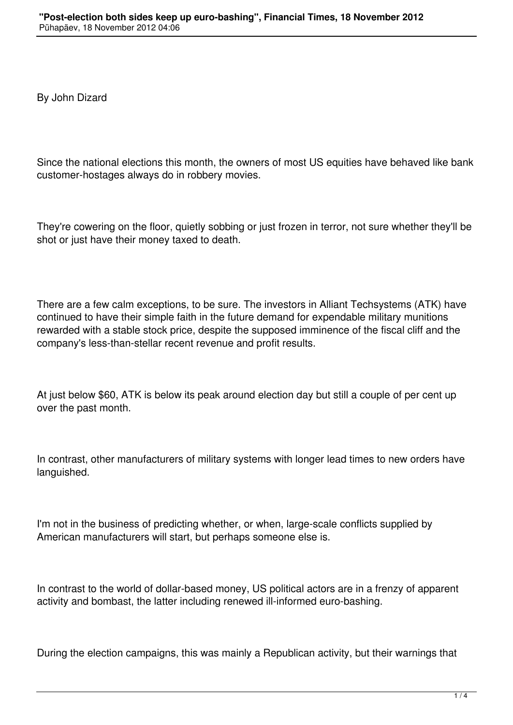By John Dizard

Since the national elections this month, the owners of most US equities have behaved like bank customer-hostages always do in robbery movies.

They're cowering on the floor, quietly sobbing or just frozen in terror, not sure whether they'll be shot or just have their money taxed to death.

There are a few calm exceptions, to be sure. The investors in Alliant Techsystems (ATK) have continued to have their simple faith in the future demand for expendable military munitions rewarded with a stable stock price, despite the supposed imminence of the fiscal cliff and the company's less-than-stellar recent revenue and profit results.

At just below \$60, ATK is below its peak around election day but still a couple of per cent up over the past month.

In contrast, other manufacturers of military systems with longer lead times to new orders have languished.

I'm not in the business of predicting whether, or when, large-scale conflicts supplied by American manufacturers will start, but perhaps someone else is.

In contrast to the world of dollar-based money, US political actors are in a frenzy of apparent activity and bombast, the latter including renewed ill-informed euro-bashing.

During the election campaigns, this was mainly a Republican activity, but their warnings that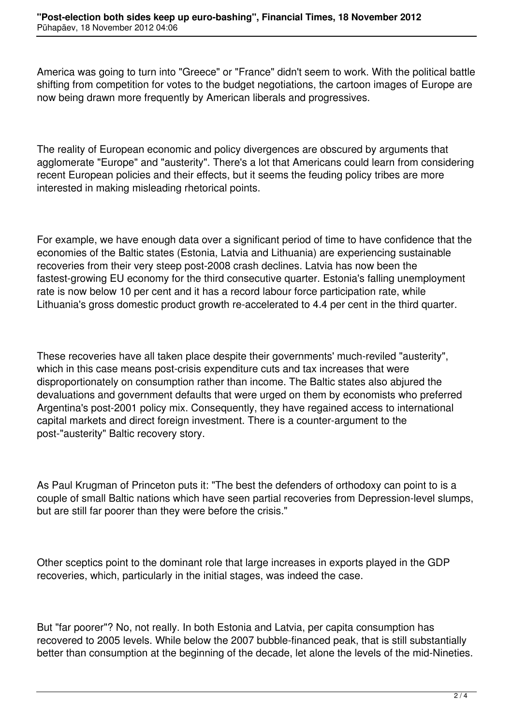America was going to turn into "Greece" or "France" didn't seem to work. With the political battle shifting from competition for votes to the budget negotiations, the cartoon images of Europe are now being drawn more frequently by American liberals and progressives.

The reality of European economic and policy divergences are obscured by arguments that agglomerate "Europe" and "austerity". There's a lot that Americans could learn from considering recent European policies and their effects, but it seems the feuding policy tribes are more interested in making misleading rhetorical points.

For example, we have enough data over a significant period of time to have confidence that the economies of the Baltic states (Estonia, Latvia and Lithuania) are experiencing sustainable recoveries from their very steep post-2008 crash declines. Latvia has now been the fastest-growing EU economy for the third consecutive quarter. Estonia's falling unemployment rate is now below 10 per cent and it has a record labour force participation rate, while Lithuania's gross domestic product growth re-accelerated to 4.4 per cent in the third quarter.

These recoveries have all taken place despite their governments' much-reviled "austerity", which in this case means post-crisis expenditure cuts and tax increases that were disproportionately on consumption rather than income. The Baltic states also abjured the devaluations and government defaults that were urged on them by economists who preferred Argentina's post-2001 policy mix. Consequently, they have regained access to international capital markets and direct foreign investment. There is a counter-argument to the post-"austerity" Baltic recovery story.

As Paul Krugman of Princeton puts it: "The best the defenders of orthodoxy can point to is a couple of small Baltic nations which have seen partial recoveries from Depression-level slumps, but are still far poorer than they were before the crisis."

Other sceptics point to the dominant role that large increases in exports played in the GDP recoveries, which, particularly in the initial stages, was indeed the case.

But "far poorer"? No, not really. In both Estonia and Latvia, per capita consumption has recovered to 2005 levels. While below the 2007 bubble-financed peak, that is still substantially better than consumption at the beginning of the decade, let alone the levels of the mid-Nineties.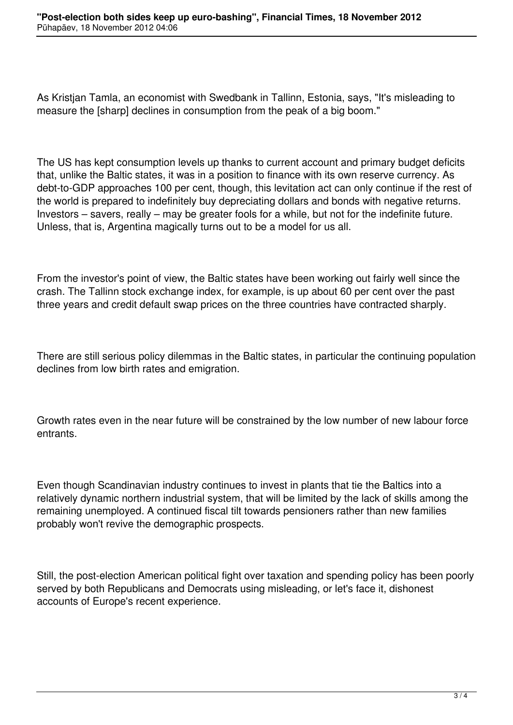As Kristjan Tamla, an economist with Swedbank in Tallinn, Estonia, says, "It's misleading to measure the [sharp] declines in consumption from the peak of a big boom."

The US has kept consumption levels up thanks to current account and primary budget deficits that, unlike the Baltic states, it was in a position to finance with its own reserve currency. As debt-to-GDP approaches 100 per cent, though, this levitation act can only continue if the rest of the world is prepared to indefinitely buy depreciating dollars and bonds with negative returns. Investors – savers, really – may be greater fools for a while, but not for the indefinite future. Unless, that is, Argentina magically turns out to be a model for us all.

From the investor's point of view, the Baltic states have been working out fairly well since the crash. The Tallinn stock exchange index, for example, is up about 60 per cent over the past three years and credit default swap prices on the three countries have contracted sharply.

There are still serious policy dilemmas in the Baltic states, in particular the continuing population declines from low birth rates and emigration.

Growth rates even in the near future will be constrained by the low number of new labour force entrants.

Even though Scandinavian industry continues to invest in plants that tie the Baltics into a relatively dynamic northern industrial system, that will be limited by the lack of skills among the remaining unemployed. A continued fiscal tilt towards pensioners rather than new families probably won't revive the demographic prospects.

Still, the post-election American political fight over taxation and spending policy has been poorly served by both Republicans and Democrats using misleading, or let's face it, dishonest accounts of Europe's recent experience.